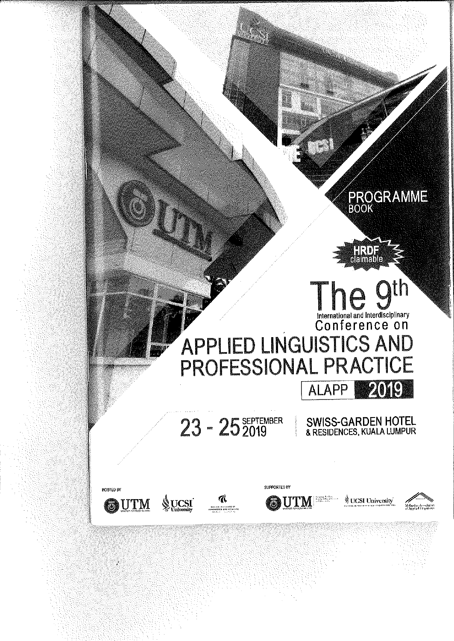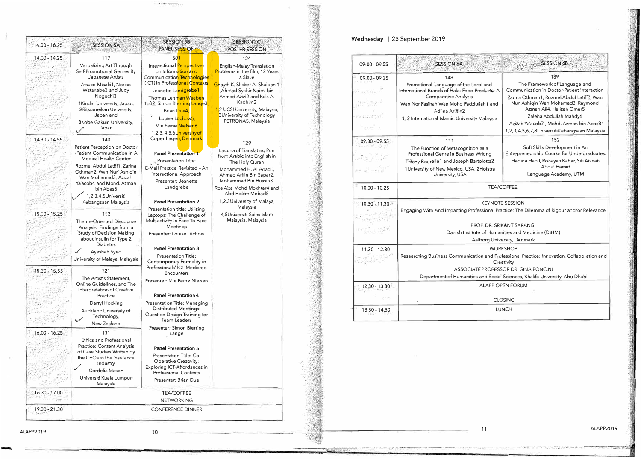| 14.00 - 16.25   | <b>SESSION 5A</b>                                                                                                                                                                                                                                                | <b>SESSION 5B</b><br>PANEL SESSION                                                                                                                                                                                                                                                                  | <b>SESSION 2C</b><br>POSTER SESSION                                                                                                                                                                                                                                   |  |  |
|-----------------|------------------------------------------------------------------------------------------------------------------------------------------------------------------------------------------------------------------------------------------------------------------|-----------------------------------------------------------------------------------------------------------------------------------------------------------------------------------------------------------------------------------------------------------------------------------------------------|-----------------------------------------------------------------------------------------------------------------------------------------------------------------------------------------------------------------------------------------------------------------------|--|--|
| 14.00 - 14.25   | 117                                                                                                                                                                                                                                                              | 501                                                                                                                                                                                                                                                                                                 | 124                                                                                                                                                                                                                                                                   |  |  |
|                 | Verbalizing Art Through<br>Self-Promotional Genres By<br>Japanese Artists<br>Atsuko Misaki1, Noriko<br>Watanabe2 and Judy<br>Noguchi3<br>1 Kindai University, Japan,<br>2Ritsumeikan University,<br>Japan and<br>3Kobe Gakuin University,<br>Japan<br>✓          | Interactional Perspectives<br>on Information and<br>Communication Technologies<br>(ICT) in Professional Contexts<br>Jeanette La <mark>ndgrebe1,</mark><br>Thomas Lehman Waaben<br>Toft2, Simon Bierring Lange3,<br>Brian Due4,<br>Louise Luchow5,<br>Mie Femø Nielsen6<br>1.2.3.4.5.6 University of | English-Malay Translation<br>Problems in the film, 12 Years<br>a Slave<br>Ghayth K. Shaker Al-Shaibani1<br>Áhmad Syahir Naimi bin,<br>Ahmad Azizi2 and Kais A.<br>Kadhim3<br>1,2 UCSI University, Malaysia,<br><b>3University of Technology</b><br>PETRONAS, Malaysia |  |  |
| $14.30 - 14.55$ | 140                                                                                                                                                                                                                                                              | Copenhage <mark>n, Denmark</mark>                                                                                                                                                                                                                                                                   | 129                                                                                                                                                                                                                                                                   |  |  |
|                 | Patient Perception on Doctor<br>-Patient Communication in A<br>Medical Health Center<br>Rozmel Abdul Latiff1, Zarina<br>Othman2, Wan Nur' Ashigin<br>Wan Mohamad3, Azizah<br>Ya'acob4 and Mohd. Azman<br>bin Abas5<br>1,2,3,4,5Universiti<br>Kebangsaan Malaysia | <b>Panel Presentation 1</b><br>Presentation Title:<br>E-Mail Practice Revisited - An<br>Interactional Approach<br>Presenter: Jeanette<br>Landgrebe<br><b>Panel Presentation 2</b>                                                                                                                   | Lacuna of Translating Pun<br>from Arabic into English in<br>The Holy Quran<br>Mohammed H. Al Agad1,<br>Ahmad Arifin Bin Sapar2,<br>Mohammad Bin Hussin3,<br>Ros Aiza Mohd Mokhtar4 and<br>Abd Hakim Mohad5<br>1,2,3University of Malaya,<br>Malaysia                  |  |  |
| $15.00 - 15.25$ | 112<br>Theme-Oriented Discourse<br>Analysis: Findings from a<br>Study of Decision Making<br>about Insulin for Type 2<br><b>Diabetes</b><br>Ayeshah Syed<br>University of Malaya, Malaysia                                                                        | Presentation title: Utilizing<br>Laptops: The Challenge of<br>Multiactivity In Face-To-Face<br>Meetings<br>Presenter: Louise Lüchow<br>Panel Presentation 3<br>Presentation Title:<br>Contemporary Formality in                                                                                     | 4,5Universiti Sains Islam<br>Malaysia, Malaysia                                                                                                                                                                                                                       |  |  |
| 15.30 - 15.55   | 121<br>The Artist's Statement.<br>Online Guidelines, and The<br>Interpretation of Creative<br>Practice                                                                                                                                                           | Professionals' ICT Mediated<br>Encounters<br>Presenter: Mie Femø Nielsen<br>Panel Presentation 4                                                                                                                                                                                                    |                                                                                                                                                                                                                                                                       |  |  |
|                 | Darryl Hocking<br>Auckland University of<br>Technology,<br>New Zealand                                                                                                                                                                                           | Presentation Title: Managing<br>Distributed Meetings:<br>Question Design Training for<br><b>Team Leaders</b><br>Presenter: Simon Bierring                                                                                                                                                           |                                                                                                                                                                                                                                                                       |  |  |
| 16.00 - 16.25   | 131<br>Ethics and Professional<br>Practice: Content Analysis<br>of Case Studies Written by<br>the CEOs in the Insurance<br>Industry<br>Cordelia Mason<br>Universiti Kuala Lumpur,<br>Malaysia                                                                    | Lange<br>Panel Presentation 5<br>Presentation Title: Co-<br>Operative Creativity:<br>Exploring ICT-Affordances in<br><b>Professional Contexts</b><br>Presenter: Brian Due                                                                                                                           |                                                                                                                                                                                                                                                                       |  |  |
|                 | <b>TEA/COFFEE</b>                                                                                                                                                                                                                                                |                                                                                                                                                                                                                                                                                                     |                                                                                                                                                                                                                                                                       |  |  |
| 16.30 - 17.00   |                                                                                                                                                                                                                                                                  | <b>NETWORKING</b>                                                                                                                                                                                                                                                                                   |                                                                                                                                                                                                                                                                       |  |  |

## Wednesday | 25 September 2019

| 124<br>English-Malay Translation<br>Problems in the film, 12 Years                            |  | $09:00 - 09.55$                                                                                     | <b>SESSION 6A</b>                                                                                                                                           | <b>SESSION 6B</b>                                                                                                                                               |  |
|-----------------------------------------------------------------------------------------------|--|-----------------------------------------------------------------------------------------------------|-------------------------------------------------------------------------------------------------------------------------------------------------------------|-----------------------------------------------------------------------------------------------------------------------------------------------------------------|--|
| a Slave                                                                                       |  | $09.00 - 09.25$                                                                                     | 148                                                                                                                                                         | 139                                                                                                                                                             |  |
| hayth K. Shaker Al-Shaibani1<br>Ahmad Syahir Naimi bin<br>Ahmad Azizi2 and Kais A.<br>Kadhim3 |  | 4월 10일 12월 10<br>-270524                                                                            | Promotional Language of the Local and<br>International Brands of Halal Food Products: A<br>Comparative Analysis<br>Wan Nor Fasihah Wan Mohd Fadzlullah1 and | The Framework of Language and<br>Communication in Doctor-Patient Interaction<br>Zarina Othman1, Rozmel Abdul Latiff2, Wan<br>Nur' Ashigin Wan Mohamad3, Raymond |  |
| 2 UCSI University, Malaysia,<br>3University of Technology<br>PETRONAS, Malaysia               |  | er posmovnosti<br>Alban Park Inc.                                                                   | Adlina Ariffin2<br>1, 2 international Islamic University Malaysia                                                                                           | Azman Ali4, Halizah Omar5<br>Zaleha Abdullah Mahdy6<br>Azizah Ya'acob7, Mohd. Azman bin Abas8<br>1,2,3,4,5,6,7,8UniversitiKebangsaan Malaysia                   |  |
| 129                                                                                           |  | $09.30 - 09.55$                                                                                     | 111                                                                                                                                                         | 152                                                                                                                                                             |  |
| Lacuna of Translating Pun<br>from Arabic into English in<br>The Holy Quran                    |  | <b>SERVICE</b><br>$\mathcal{A} = \mathcal{A} \cup \mathcal{A}$                                      | The Function of Metacognition as a<br>Professional Genre in Business Writing<br>Tiffany Bourelle1 and Joseph Bartolotta2                                    | Soft Skills Development in An<br>Entrepreneurship Course for Undergraduates.<br>Hadina Habil, Rohayah Kahar, Siti Aishah                                        |  |
| Mohammed H. Al Agad1,<br>Ahmad Arifin Bin Sapar2,<br>Mohammad Bin Hussin3.                    |  | لأوراجين وأمرر الدفر                                                                                | 1University of New Mexico, USA, 2Hofstra<br>University, USA                                                                                                 | Abdul Hamid<br>Language Academy, UTM                                                                                                                            |  |
| Ros Aiza Mohd Mokhtar4 and<br>Abd Hakim Mohad5                                                |  | $10.00 - 10.25$                                                                                     |                                                                                                                                                             | <b>TEA/COFFEE</b>                                                                                                                                               |  |
| 1,2,3University of Malaya,<br>Malaysia                                                        |  | $10.30 - 11.30$                                                                                     |                                                                                                                                                             | <b>KEYNOTE SESSION</b><br>Engaging With And Impacting Professional Practice: The Dilemma of Rigour and/or Relevance                                             |  |
| 4.5Universiti Sains Islam<br>Malaysia, Malaysia                                               |  |                                                                                                     |                                                                                                                                                             |                                                                                                                                                                 |  |
|                                                                                               |  | sentlum#                                                                                            |                                                                                                                                                             | PROF. DR. SRIKANT SARANGI                                                                                                                                       |  |
|                                                                                               |  |                                                                                                     | Danish institute of Humanities and Medicine (DIHM)<br>Aalborg University, Denmark                                                                           |                                                                                                                                                                 |  |
|                                                                                               |  | 11.30 - 12.30                                                                                       |                                                                                                                                                             | <b>WORKSHOP</b>                                                                                                                                                 |  |
|                                                                                               |  | $\label{eq:1} \mathcal{V}(\mathcal{P}) \geq \mathcal{P}(\mathcal{P}) \geq \mathcal{P}(\mathcal{P})$ | Researching Business Communication and Professional Practice: Innovation, Collaboration and<br>Creativity                                                   |                                                                                                                                                                 |  |
|                                                                                               |  |                                                                                                     | ASSOCIATE PROFESSOR DR. GINA PONCINI                                                                                                                        |                                                                                                                                                                 |  |
|                                                                                               |  |                                                                                                     | Department of Humanities and Social Sciences, Khalifa University, Abu Dhabi                                                                                 |                                                                                                                                                                 |  |
|                                                                                               |  | 12.30 - 13.30                                                                                       | ALAPP OPEN FORUM                                                                                                                                            |                                                                                                                                                                 |  |
|                                                                                               |  | 377.07                                                                                              | <b>CLOSING</b>                                                                                                                                              |                                                                                                                                                                 |  |
|                                                                                               |  | 13.30 - 14.30                                                                                       |                                                                                                                                                             | <b>LUNCH</b>                                                                                                                                                    |  |

**ALAPP2019** 

-

11 ALAPP2019